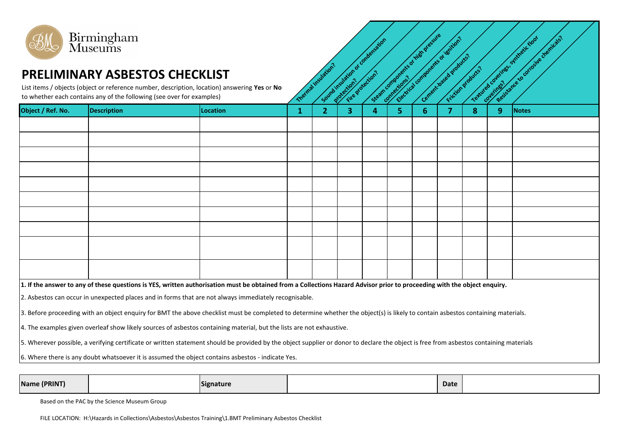

|                                                                                                                                                                                        |                    |                 | N.           | יפי            | RY Y | ַ ה | <i><u>57</u></i><br>V. | ◡ | N. | <b>SZ</b><br>$\sim$ |              |
|----------------------------------------------------------------------------------------------------------------------------------------------------------------------------------------|--------------------|-----------------|--------------|----------------|------|-----|------------------------|---|----|---------------------|--------------|
| Object / Ref. No.                                                                                                                                                                      | <b>Description</b> | <b>Location</b> | $\mathbf{1}$ | $\overline{2}$ | 3    | 4   | 5.                     | 6 | 8  | 9                   | <b>Notes</b> |
|                                                                                                                                                                                        |                    |                 |              |                |      |     |                        |   |    |                     |              |
|                                                                                                                                                                                        |                    |                 |              |                |      |     |                        |   |    |                     |              |
|                                                                                                                                                                                        |                    |                 |              |                |      |     |                        |   |    |                     |              |
|                                                                                                                                                                                        |                    |                 |              |                |      |     |                        |   |    |                     |              |
|                                                                                                                                                                                        |                    |                 |              |                |      |     |                        |   |    |                     |              |
|                                                                                                                                                                                        |                    |                 |              |                |      |     |                        |   |    |                     |              |
|                                                                                                                                                                                        |                    |                 |              |                |      |     |                        |   |    |                     |              |
|                                                                                                                                                                                        |                    |                 |              |                |      |     |                        |   |    |                     |              |
|                                                                                                                                                                                        |                    |                 |              |                |      |     |                        |   |    |                     |              |
|                                                                                                                                                                                        |                    |                 |              |                |      |     |                        |   |    |                     |              |
| 1. If the answer to any of these questions is YES, written authorisation must be obtained from a Collections Hazard Advisor prior to proceeding with the object enquiry.               |                    |                 |              |                |      |     |                        |   |    |                     |              |
| 2. Asbestos can occur in unexpected places and in forms that are not always immediately recognisable.                                                                                  |                    |                 |              |                |      |     |                        |   |    |                     |              |
| 3. Before proceeding with an object enquiry for BMT the above checklist must be completed to determine whether the object(s) is likely to contain asbestos containing materials.       |                    |                 |              |                |      |     |                        |   |    |                     |              |
| 4. The examples given overleaf show likely sources of asbestos containing material, but the lists are not exhaustive.                                                                  |                    |                 |              |                |      |     |                        |   |    |                     |              |
| 5. Wherever possible, a verifying certificate or written statement should be provided by the object supplier or donor to declare the object is free from asbestos containing materials |                    |                 |              |                |      |     |                        |   |    |                     |              |
| 6. Where there is any doubt whatsoever it is assumed the object contains asbestos - indicate Yes.                                                                                      |                    |                 |              |                |      |     |                        |   |    |                     |              |

| Name (PRINT) | Signature | Date |  |
|--------------|-----------|------|--|
|              |           |      |  |

Based on the PAC by the Science Museum Group

FILE LOCATION: H:\Hazards in Collections\Asbestos\Asbestos Training\1.BMT Preliminary Asbestos Checklist